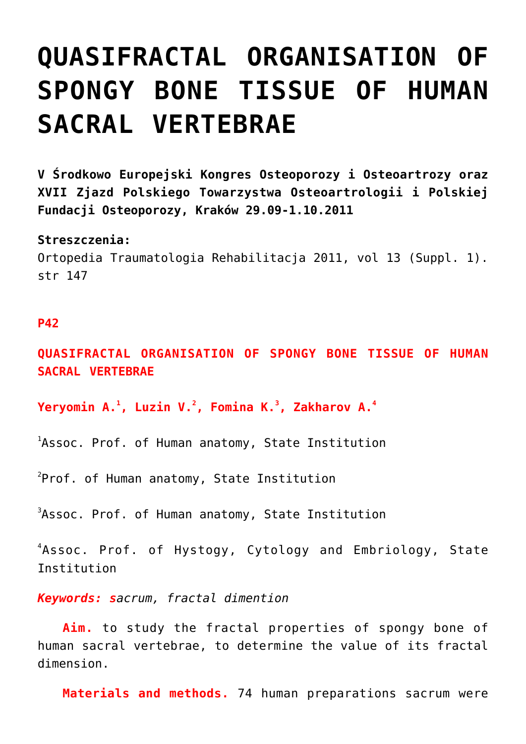## **[QUASIFRACTAL ORGANISATION OF](https://osteoporoza.pl/quasifractal-organisation-of-spongy-bone-tissue-of-human-sacral-vertebrae/) [SPONGY BONE TISSUE OF HUMAN](https://osteoporoza.pl/quasifractal-organisation-of-spongy-bone-tissue-of-human-sacral-vertebrae/) [SACRAL VERTEBRAE](https://osteoporoza.pl/quasifractal-organisation-of-spongy-bone-tissue-of-human-sacral-vertebrae/)**

**V Środkowo Europejski Kongres Osteoporozy i Osteoartrozy oraz XVII Zjazd Polskiego Towarzystwa Osteoartrologii i Polskiej Fundacji Osteoporozy, Kraków 29.09-1.10.2011**

## **Streszczenia:**

Ortopedia Traumatologia Rehabilitacja 2011, vol 13 (Suppl. 1). str 147

## **P42**

**QUASIFRACTAL ORGANISATION OF SPONGY BONE TISSUE OF HUMAN SACRAL VERTEBRAE**

**Yeryomin A.<sup>1</sup> , Luzin V.<sup>2</sup> , Fomina K.<sup>3</sup> , Zakharov A.<sup>4</sup>**

<sup>1</sup>Assoc. Prof. of Human anatomy, State Institution

 $^{2}$ Prof. of Human anatomy, State Institution

 $3$ Assoc. Prof. of Human anatomy, State Institution

4 Assoc. Prof. of Hystogy, Cytology and Embriology, State Institution

*Keywords: sacrum, fractal dimention*

**Aim.** to study the fractal properties of spongy bone of human sacral vertebrae, to determine the value of its fractal dimension.

**Materials and methods.** 74 human preparations sacrum were